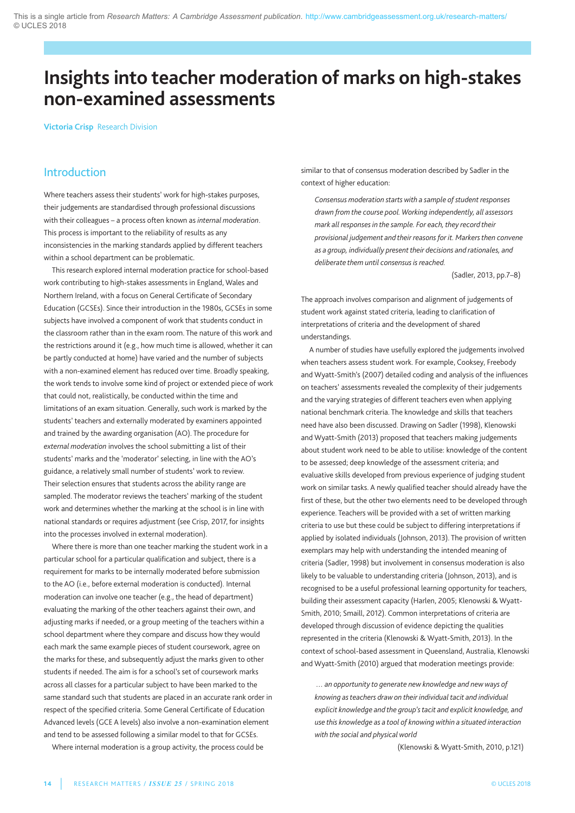# **Insights into teacher moderation of marks on high-stakes non-examined assessments**

**Victoria Crisp** Research Division

# Introduction

Where teachers assess their students' work for high-stakes purposes, their judgements are standardised through professional discussions with their colleagues – a process often known as *internal moderation*. This process is important to the reliability of results as any inconsistencies in the marking standards applied by different teachers within a school department can be problematic.

This research explored internal moderation practice for school-based work contributing to high-stakes assessments in England, Wales and Northern Ireland, with a focus on General Certificate of Secondary Education (GCSEs). Since their introduction in the 1980s, GCSEs in some subjects have involved a component of work that students conduct in the classroom rather than in the exam room. The nature of this work and the restrictions around it (e.g., how much time is allowed, whether it can be partly conducted at home) have varied and the number of subjects with a non-examined element has reduced over time. Broadly speaking, the work tends to involve some kind of project or extended piece of work that could not, realistically, be conducted within the time and limitations of an exam situation. Generally, such work is marked by the students' teachers and externally moderated by examiners appointed and trained by the awarding organisation (AO). The procedure for *external moderation* involves the school submitting a list of their students' marks and the 'moderator' selecting, in line with the aO's guidance, a relatively small number of students' work to review. Their selection ensures that students across the ability range are sampled. The moderator reviews the teachers' marking of the student work and determines whether the marking at the school is in line with national standards or requires adjustment (see Crisp, 2017, for insights into the processes involved in external moderation).

Where there is more than one teacher marking the student work in a particular school for a particular qualification and subject, there is a requirement for marks to be internally moderated before submission to the aO (i.e., before external moderation is conducted). Internal moderation can involve one teacher (e.g., the head of department) evaluating the marking of the other teachers against their own, and adjusting marks if needed, or a group meeting of the teachers within a school department where they compare and discuss how they would each mark the same example pieces of student coursework, agree on the marks for these, and subsequently adjust the marks given to other students if needed. The aim is for a school's set of coursework marks across all classes for a particular subject to have been marked to the same standard such that students are placed in an accurate rank order in respect of the specified criteria. Some General Certificate of Education advanced levels (gCE a levels) also involve a non-examination element and tend to be assessed following a similar model to that for GCSEs.

Where internal moderation is a group activity, the process could be

similar to that of consensus moderation described by Sadler in the context of higher education:

*Consensus moderation startswith a sample of student responses drawn from the course pool. Working independently, all assessors mark all responses in the sample. For each, they record their provisional judgement and their reasons for it. Markersthen convene as a group, individually present their decisions and rationales, and deliberate them until consensus is reached.*

(Sadler, 2013, pp.7–8)

The approach involves comparison and alignment of judgements of student work against stated criteria, leading to clarification of interpretations of criteria and the development of shared understandings.

a number of studies have usefully explored the judgements involved when teachers assess student work. For example, Cooksey, Freebody and Wyatt-Smith's (2007) detailed coding and analysis of the influences on teachers' assessments revealed the complexity of their judgements and the varying strategies of different teachers even when applying national benchmark criteria. The knowledge and skills that teachers need have also been discussed. Drawing on Sadler (1998), Klenowski and Wyatt-Smith (2013) proposed that teachers making judgements about student work need to be able to utilise: knowledge of the content to be assessed; deep knowledge of the assessment criteria; and evaluative skills developed from previous experience of judging student work on similar tasks. A newly qualified teacher should already have the first of these, but the other two elements need to be developed through experience. Teachers will be provided with a set of written marking criteria to use but these could be subject to differing interpretations if applied by isolated individuals (Johnson, 2013). The provision of written exemplars may help with understanding the intended meaning of criteria (Sadler, 1998) but involvement in consensus moderation is also likely to be valuable to understanding criteria (Johnson, 2013), and is recognised to be a useful professional learning opportunity for teachers, building their assessment capacity (Harlen, 2005; Klenowski & Wyatt-Smith, 2010; Smaill, 2012). Common interpretations of criteria are developed through discussion of evidence depicting the qualities represented in the criteria (Klenowski & Wyatt-Smith, 2013). In the context of school-based assessment in Queensland, Australia, Klenowski and Wyatt-Smith (2010) argued that moderation meetings provide:

*… an opportunity to generate new knowledge and newways of knowing asteachers drawon their individual tacit and individual explicit knowledge and the group'stacit and explicit knowledge, and use this knowledge as a tool of knowingwithin a situated interaction with the social and physicalworld*

(Klenowski & Wyatt-Smith, 2010, p.121)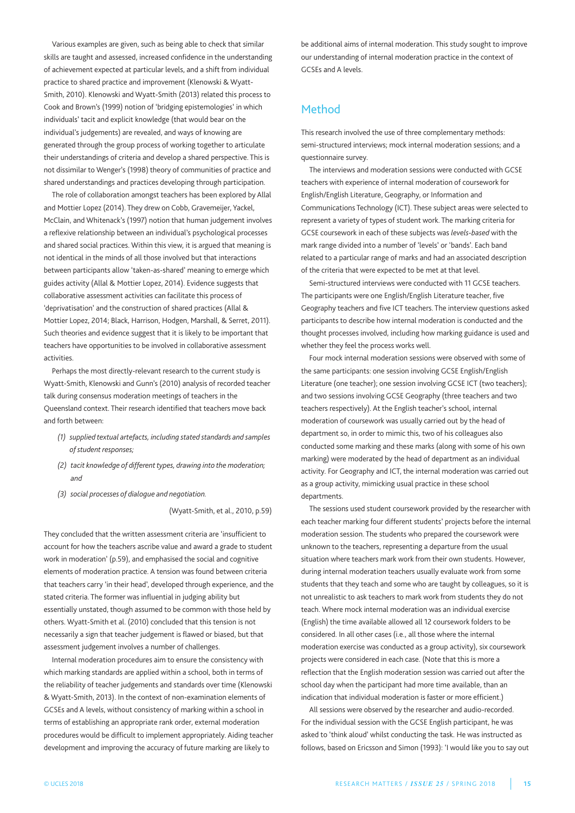Various examples are given, such as being able to check that similar skills are taught and assessed, increased confidence in the understanding of achievement expected at particular levels, and a shift from individual practice to shared practice and improvement (Klenowski & Wyatt-Smith, 2010). Klenowski and Wyatt-Smith (2013) related this process to Cook and Brown's (1999) notion of 'bridging epistemologies' in which individuals' tacit and explicit knowledge (that would bear on the individual's judgements) are revealed, and ways of knowing are generated through the group process of working together to articulate their understandings of criteria and develop a shared perspective. This is not dissimilar to Wenger's (1998) theory of communities of practice and shared understandings and practices developing through participation.

The role of collaboration amongst teachers has been explored by allal and Mottier Lopez (2014). They drew on Cobb, Gravemeijer, Yackel, McClain, and Whitenack's (1997) notion that human judgement involves a reflexive relationship between an individual's psychological processes and shared social practices. Within this view, it is argued that meaning is not identical in the minds of all those involved but that interactions between participants allow 'taken-as-shared' meaning to emerge which guides activity (allal & Mottier lopez, 2014). Evidence suggests that collaborative assessment activities can facilitate this process of 'deprivatisation' and the construction of shared practices (allal & Mottier lopez, 2014; Black, Harrison, Hodgen, Marshall, & Serret, 2011). Such theories and evidence suggest that it is likely to be important that teachers have opportunities to be involved in collaborative assessment activities.

perhaps the most directly-relevant research to the current study is Wyatt-Smith, Klenowski and Gunn's (2010) analysis of recorded teacher talk during consensus moderation meetings of teachers in the Queensland context. Their research identified that teachers move back and forth between:

- *(1) supplied textual artefacts, including stated standards and samples of student responses;*
- *(2) tacit knowledge of different types, drawing into the moderation; and*
- *(3) social processes of dialogue and negotiation.*

(Wyatt-Smith, et al., 2010, p.59)

They concluded that the written assessment criteria are 'insufficient to account for how the teachers ascribe value and award a grade to student work in moderation' (p.59), and emphasised the social and cognitive elements of moderation practice. A tension was found between criteria that teachers carry 'in their head', developed through experience, and the stated criteria. The former was influential in judging ability but essentially unstated, though assumed to be common with those held by others. Wyatt-Smith et al. (2010) concluded that this tension is not necessarily a sign that teacher judgement is flawed or biased, but that assessment judgement involves a number of challenges.

Internal moderation procedures aim to ensure the consistency with which marking standards are applied within a school, both in terms of the reliability of teacher judgements and standards over time (Klenowski & Wyatt-Smith, 2013). In the context of non-examination elements of GCSEs and A levels, without consistency of marking within a school in terms of establishing an appropriate rank order, external moderation procedures would be difficult to implement appropriately. aiding teacher development and improving the accuracy of future marking are likely to

be additional aims of internal moderation. This study sought to improve our understanding of internal moderation practice in the context of GCSEs and A levels.

# Method

This research involved the use of three complementary methods: semi-structured interviews; mock internal moderation sessions; and a questionnaire survey.

The interviews and moderation sessions were conducted with GCSE teachers with experience of internal moderation of coursework for English/English literature, geography, or Information and Communications Technology (ICT). These subject areas were selected to represent a variety of types of student work. The marking criteria for gCSE coursework in each of these subjects was *levels-based* with the mark range divided into a number of 'levels' or 'bands'. Each band related to a particular range of marks and had an associated description of the criteria that were expected to be met at that level.

Semi-structured interviews were conducted with 11 GCSE teachers. The participants were one English/English literature teacher, five Geography teachers and five ICT teachers. The interview questions asked participants to describe how internal moderation is conducted and the thought processes involved, including how marking guidance is used and whether they feel the process works well.

Four mock internal moderation sessions were observed with some of the same participants: one session involving GCSE English/English Literature (one teacher); one session involving GCSE ICT (two teachers); and two sessions involving GCSE Geography (three teachers and two teachers respectively). at the English teacher's school, internal moderation of coursework was usually carried out by the head of department so, in order to mimic this, two of his colleagues also conducted some marking and these marks (along with some of his own marking) were moderated by the head of department as an individual activity. For Geography and ICT, the internal moderation was carried out as a group activity, mimicking usual practice in these school departments.

The sessions used student coursework provided by the researcher with each teacher marking four different students' projects before the internal moderation session. The students who prepared the coursework were unknown to the teachers, representing a departure from the usual situation where teachers mark work from their own students. However, during internal moderation teachers usually evaluate work from some students that they teach and some who are taught by colleagues, so it is not unrealistic to ask teachers to mark work from students they do not teach. Where mock internal moderation was an individual exercise (English) the time available allowed all 12 coursework folders to be considered. In all other cases (i.e., all those where the internal moderation exercise was conducted as a group activity), six coursework projects were considered in each case. (Note that this is more a reflection that the English moderation session was carried out after the school day when the participant had more time available, than an indication that individual moderation is faster or more efficient.)

all sessions were observed by the researcher and audio-recorded. For the individual session with the gCSE English participant, he was asked to 'think aloud' whilst conducting the task. He was instructed as follows, based on Ericsson and Simon (1993): 'I would like you to say out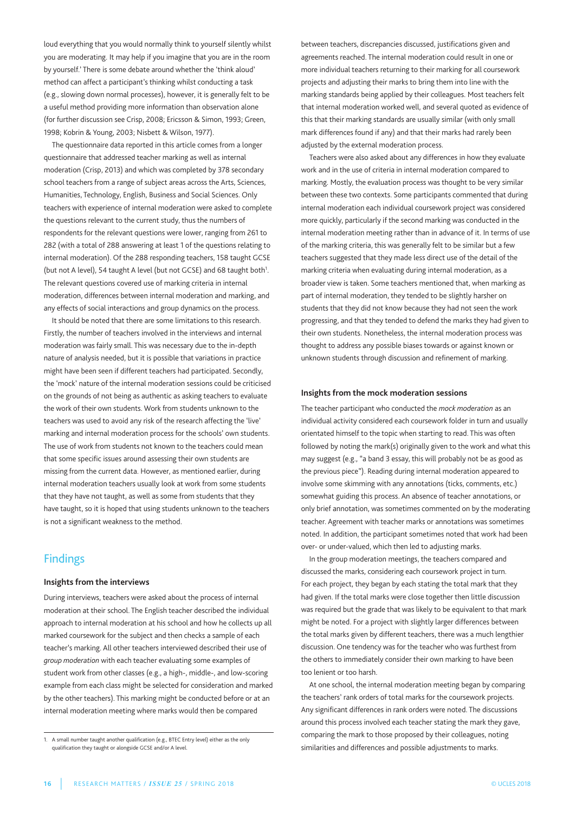loud everything that you would normally think to yourself silently whilst you are moderating. It may help if you imagine that you are in the room by yourself.' There is some debate around whether the 'think aloud' method can affect a participant's thinking whilst conducting a task (e.g., slowing down normal processes), however, it is generally felt to be a useful method providing more information than observation alone (for further discussion see Crisp, 2008; Ericsson & Simon, 1993; Green, 1998; Kobrin & Young, 2003; nisbett & Wilson, 1977).

The questionnaire data reported in this article comes from a longer questionnaire that addressed teacher marking as well as internal moderation (Crisp, 2013) and which was completed by 378 secondary school teachers from a range of subject areas across the Arts, Sciences, Humanities, Technology, English, Business and Social Sciences. Only teachers with experience of internal moderation were asked to complete the questions relevant to the current study, thus the numbers of respondents for the relevant questions were lower, ranging from 261 to 282 (with a total of 288 answering at least 1 of the questions relating to internal moderation). Of the 288 responding teachers, 158 taught GCSE (but not A level), 54 taught A level (but not GCSE) and 68 taught both<sup>1</sup>. The relevant questions covered use of marking criteria in internal moderation, differences between internal moderation and marking, and any effects of social interactions and group dynamics on the process.

It should be noted that there are some limitations to this research. Firstly, the number of teachers involved in the interviews and internal moderation was fairly small. This was necessary due to the in-depth nature of analysis needed, but it is possible that variations in practice might have been seen if different teachers had participated. Secondly, the 'mock' nature of the internal moderation sessions could be criticised on the grounds of not being as authentic as asking teachers to evaluate the work of their own students. Work from students unknown to the teachers was used to avoid any risk of the research affecting the 'live' marking and internal moderation process for the schools' own students. The use of work from students not known to the teachers could mean that some specific issues around assessing their own students are missing from the current data. However, as mentioned earlier, during internal moderation teachers usually look at work from some students that they have not taught, as well as some from students that they have taught, so it is hoped that using students unknown to the teachers is not a significant weakness to the method.

# **Findings**

### **Insights from the interviews**

During interviews, teachers were asked about the process of internal moderation at their school. The English teacher described the individual approach to internal moderation at his school and how he collects up all marked coursework for the subject and then checks a sample of each teacher's marking. all other teachers interviewed described their use of *group moderation* with each teacher evaluating some examples of student work from other classes (e.g., a high-, middle-, and low-scoring example from each class might be selected for consideration and marked by the other teachers). This marking might be conducted before or at an internal moderation meeting where marks would then be compared

between teachers, discrepancies discussed, justifications given and agreements reached. The internal moderation could result in one or more individual teachers returning to their marking for all coursework projects and adjusting their marks to bring them into line with the marking standards being applied by their colleagues. Most teachers felt that internal moderation worked well, and several quoted as evidence of this that their marking standards are usually similar (with only small mark differences found if any) and that their marks had rarely been adjusted by the external moderation process.

Teachers were also asked about any differences in how they evaluate work and in the use of criteria in internal moderation compared to marking. Mostly, the evaluation process was thought to be very similar between these two contexts. Some participants commented that during internal moderation each individual coursework project was considered more quickly, particularly if the second marking was conducted in the internal moderation meeting rather than in advance of it. In terms of use of the marking criteria, this was generally felt to be similar but a few teachers suggested that they made less direct use of the detail of the marking criteria when evaluating during internal moderation, as a broader view is taken. Some teachers mentioned that, when marking as part of internal moderation, they tended to be slightly harsher on students that they did not know because they had not seen the work progressing, and that they tended to defend the marks they had given to their own students. Nonetheless, the internal moderation process was thought to address any possible biases towards or against known or unknown students through discussion and refinement of marking.

### **Insights from the mock moderation sessions**

The teacher participant who conducted the *mock moderation* as an individual activity considered each coursework folder in turn and usually orientated himself to the topic when starting to read. This was often followed by noting the mark(s) originally given to the work and what this may suggest (e.g., "a band 3 essay, this will probably not be as good as the previous piece"). Reading during internal moderation appeared to involve some skimming with any annotations (ticks, comments, etc.) somewhat guiding this process. An absence of teacher annotations, or only brief annotation, was sometimes commented on by the moderating teacher. Agreement with teacher marks or annotations was sometimes noted. In addition, the participant sometimes noted that work had been over- or under-valued, which then led to adjusting marks.

In the group moderation meetings, the teachers compared and discussed the marks, considering each coursework project in turn. For each project, they began by each stating the total mark that they had given. If the total marks were close together then little discussion was required but the grade that was likely to be equivalent to that mark might be noted. For a project with slightly larger differences between the total marks given by different teachers, there was a much lengthier discussion. One tendency was for the teacher who was furthest from the others to immediately consider their own marking to have been too lenient or too harsh.

at one school, the internal moderation meeting began by comparing the teachers' rank orders of total marks for the coursework projects. any significant differences in rank orders were noted. The discussions around this process involved each teacher stating the mark they gave, comparing the mark to those proposed by their colleagues, noting similarities and differences and possible adjustments to marks.

<sup>1.</sup> a small number taught another qualification (e.g., BTEC Entry level) either as the only qualification they taught or alongside GCSE and/or A level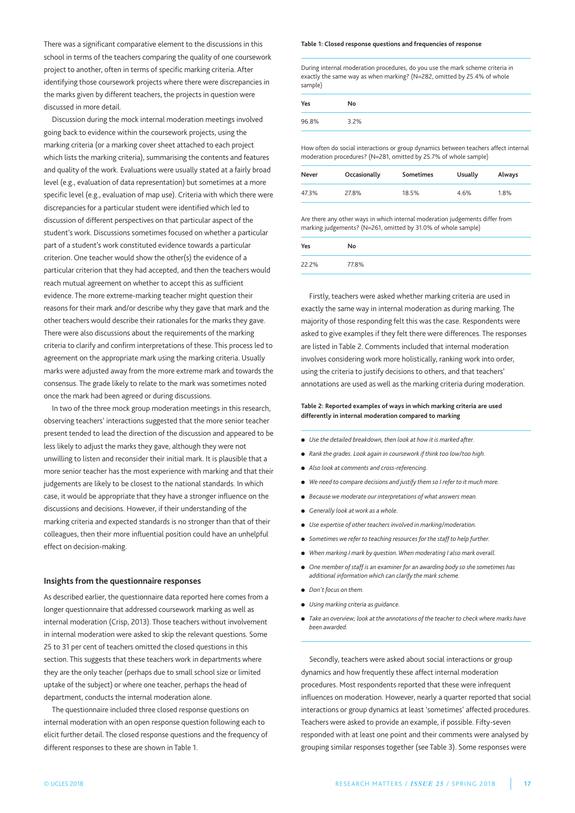There was a significant comparative element to the discussions in this school in terms of the teachers comparing the quality of one coursework project to another, often in terms of specific marking criteria. After identifying those coursework projects where there were discrepancies in the marks given by different teachers, the projects in question were discussed in more detail.

Discussion during the mock internal moderation meetings involved going back to evidence within the coursework projects, using the marking criteria (or a marking cover sheet attached to each project which lists the marking criteria), summarising the contents and features and quality of the work. Evaluations were usually stated at a fairly broad level (e.g., evaluation of data representation) but sometimes at a more specific level (e.g., evaluation of map use). Criteria with which there were discrepancies for a particular student were identified which led to discussion of different perspectives on that particular aspect of the student's work. Discussions sometimes focused on whether a particular part of a student's work constituted evidence towards a particular criterion. One teacher would show the other(s) the evidence of a particular criterion that they had accepted, and then the teachers would reach mutual agreement on whether to accept this as sufficient evidence. The more extreme-marking teacher might question their reasons for their mark and/or describe why they gave that mark and the other teachers would describe their rationales for the marks they gave. There were also discussions about the requirements of the marking criteria to clarify and confirm interpretations of these. This process led to agreement on the appropriate mark using the marking criteria. Usually marks were adjusted away from the more extreme mark and towards the consensus. The grade likely to relate to the mark was sometimes noted once the mark had been agreed or during discussions.

In two of the three mock group moderation meetings in this research, observing teachers' interactions suggested that the more senior teacher present tended to lead the direction of the discussion and appeared to be less likely to adjust the marks they gave, although they were not unwilling to listen and reconsider their initial mark. It is plausible that a more senior teacher has the most experience with marking and that their judgements are likely to be closest to the national standards. In which case, it would be appropriate that they have a stronger influence on the discussions and decisions. However, if their understanding of the marking criteria and expected standards is no stronger than that of their colleagues, then their more influential position could have an unhelpful effect on decision-making.

### **Insights from the questionnaire responses**

as described earlier, the questionnaire data reported here comes from a longer questionnaire that addressed coursework marking as well as internal moderation (Crisp, 2013). Those teachers without involvement in internal moderation were asked to skip the relevant questions. Some 25 to 31 per cent of teachers omitted the closed questions in this section. This suggests that these teachers work in departments where they are the only teacher (perhaps due to small school size or limited uptake of the subject) or where one teacher, perhaps the head of department, conducts the internal moderation alone.

The questionnaire included three closed response questions on internal moderation with an open response question following each to elicit further detail. The closed response questions and the frequency of different responses to these are shown in Table 1.

#### **Table 1: Closed response questions and frequencies of response**

During internal moderation procedures, do you use the mark scheme criteria in exactly the same way as when marking? (N=282, omitted by 25.4% of whole sample)

| Yes   | No   |
|-------|------|
| 96.8% | 3.2% |

How often do social interactions or group dynamics between teachers affect internal moderation procedures? (n=281, omitted by 25.7% of whole sample)

| Never | Occasionally | Sometimes | Usually | Always |
|-------|--------------|-----------|---------|--------|
| 47.3% | 27.8%        | 18.5%     | 4.6%    | 1.8%   |

are there any other ways in which internal moderation judgements differ from marking judgements? (n=261, omitted by 31.0% of whole sample)

| Yes   | No    |
|-------|-------|
| 22.2% | 77.8% |

Firstly, teachers were asked whether marking criteria are used in exactly the same way in internal moderation as during marking. The majority of those responding felt this was the case. Respondents were asked to give examples if they felt there were differences. The responses are listed in Table 2. Comments included that internal moderation involves considering work more holistically, ranking work into order, using the criteria to justify decisions to others, and that teachers' annotations are used as well as the marking criteria during moderation.

### **Table 2: Reported examples of ways in which marking criteria are used differently in internal moderation compared to marking**

- **●** *Use the detailed breakdown, then look at how it is marked after.*
- **●** *Rank the grades. Look again in coursework if think too low/too high.*
- **●** *Also look at comments and cross-referencing.*
- **●** *We need to compare decisions and justify them so I refer to it much more.*
- **●** *Because we moderate our interpretations of what answers mean.*
- **●** *Generally look at work as a whole.*
- **●** *Use expertise of other teachers involved in marking/moderation.*
- **●** *Sometimes we refer to teaching resources for the staff to help further.*
- **●** *When marking I mark by question. When moderating I also mark overall.*
- **●** *One member of staff is an examiner for an awarding body so she sometimes has additional information which can clarify the mark scheme.*
- **●** *Don't focus on them.*
- **●** *Using marking criteria as guidance.*
- **●** *Take an overview; look at the annotations of the teacher to check where marks have been awarded.*

Secondly, teachers were asked about social interactions or group dynamics and how frequently these affect internal moderation procedures. Most respondents reported that these were infrequent influences on moderation. However, nearly a quarter reported that social interactions or group dynamics at least 'sometimes' affected procedures. Teachers were asked to provide an example, if possible. Fifty-seven responded with at least one point and their comments were analysed by grouping similar responses together (see Table 3). Some responses were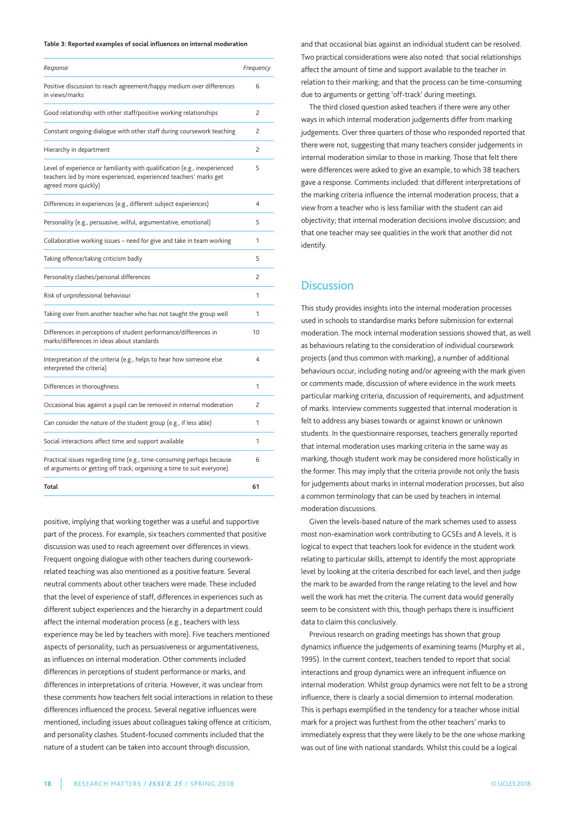### **Table 3: Reported examples of social influences on internal moderation**

| Response                                                                                                                                                                | Frequency      |
|-------------------------------------------------------------------------------------------------------------------------------------------------------------------------|----------------|
| Positive discussion to reach agreement/happy medium over differences<br>in views/marks                                                                                  | 6              |
| Good relationship with other staff/positive working relationships                                                                                                       | $\overline{c}$ |
| Constant ongoing dialogue with other staff during coursework teaching                                                                                                   | 2              |
| Hierarchy in department                                                                                                                                                 | $\overline{c}$ |
| Level of experience or familiarity with qualification (e.g., inexperienced<br>teachers led by more experienced, experienced teachers' marks get<br>agreed more quickly) | 5              |
| Differences in experiences (e.g., different subject experiences)                                                                                                        | $\overline{4}$ |
| Personality (e.g., persuasive, wilful, argumentative, emotional)                                                                                                        | 5              |
| Collaborative working issues - need for give and take in team working                                                                                                   | 1              |
| Taking offence/taking criticism badly                                                                                                                                   | 5              |
| Personality clashes/personal differences                                                                                                                                | 2              |
| Risk of unprofessional behaviour                                                                                                                                        | 1              |
| Taking over from another teacher who has not taught the group well                                                                                                      | 1              |
| Differences in perceptions of student performance/differences in<br>marks/differences in ideas about standards                                                          | 10             |
| Interpretation of the criteria (e.g., helps to hear how someone else<br>interpreted the criteria)                                                                       | $\overline{4}$ |
| Differences in thoroughness                                                                                                                                             | 1              |
| Occasional bias against a pupil can be removed in internal moderation                                                                                                   | $\overline{c}$ |
| Can consider the nature of the student group (e.g., if less able)                                                                                                       | 1              |
| Social interactions affect time and support available                                                                                                                   | 1              |
| Practical issues regarding time (e.g., time-consuming perhaps because<br>of arguments or getting off track; organising a time to suit everyone)                         | 6              |
| Total                                                                                                                                                                   | 61             |

positive, implying that working together was a useful and supportive part of the process. For example, six teachers commented that positive discussion was used to reach agreement over differences in views. Frequent ongoing dialogue with other teachers during courseworkrelated teaching was also mentioned as a positive feature. Several neutral comments about other teachers were made. These included that the level of experience of staff, differences in experiences such as different subject experiences and the hierarchy in a department could affect the internal moderation process (e.g., teachers with less experience may be led by teachers with more). Five teachers mentioned aspects of personality, such as persuasiveness or argumentativeness, as influences on internal moderation. Other comments included differences in perceptions of student performance or marks, and differences in interpretations of criteria. However, it was unclear from these comments how teachers felt social interactions in relation to these differences influenced the process. Several negative influences were mentioned, including issues about colleagues taking offence at criticism, and personality clashes. Student-focused comments included that the nature of a student can be taken into account through discussion,

and that occasional bias against an individual student can be resolved. Two practical considerations were also noted: that social relationships affect the amount of time and support available to the teacher in relation to their marking; and that the process can be time-consuming due to arguments or getting 'off-track' during meetings.

The third closed question asked teachers if there were any other ways in which internal moderation judgements differ from marking judgements. Over three quarters of those who responded reported that there were not, suggesting that many teachers consider judgements in internal moderation similar to those in marking. Those that felt there were differences were asked to give an example, to which 38 teachers gave a response. Comments included: that different interpretations of the marking criteria influence the internal moderation process; that a view from a teacher who is less familiar with the student can aid objectivity; that internal moderation decisions involve discussion; and that one teacher may see qualities in the work that another did not identify.

### **Discussion**

This study provides insights into the internal moderation processes used in schools to standardise marks before submission for external moderation. The mock internal moderation sessions showed that, as well as behaviours relating to the consideration of individual coursework projects (and thus common with marking), a number of additional behaviours occur, including noting and/or agreeing with the mark given or comments made, discussion of where evidence in the work meets particular marking criteria, discussion of requirements, and adjustment of marks. Interview comments suggested that internal moderation is felt to address any biases towards or against known or unknown students. In the questionnaire responses, teachers generally reported that internal moderation uses marking criteria in the same way as marking, though student work may be considered more holistically in the former. This may imply that the criteria provide not only the basis for judgements about marks in internal moderation processes, but also a common terminology that can be used by teachers in internal moderation discussions.

Given the levels-based nature of the mark schemes used to assess most non-examination work contributing to GCSEs and A levels, it is logical to expect that teachers look for evidence in the student work relating to particular skills, attempt to identify the most appropriate level by looking at the criteria described for each level, and then judge the mark to be awarded from the range relating to the level and how well the work has met the criteria. The current data would generally seem to be consistent with this, though perhaps there is insufficient data to claim this conclusively.

previous research on grading meetings has shown that group dynamics influence the judgements of examining teams (Murphy et al., 1995). In the current context, teachers tended to report that social interactions and group dynamics were an infrequent influence on internal moderation. Whilst group dynamics were not felt to be a strong influence, there is clearly a social dimension to internal moderation. This is perhaps exemplified in the tendency for a teacher whose initial mark for a project was furthest from the other teachers' marks to immediately express that they were likely to be the one whose marking was out of line with national standards. Whilst this could be a logical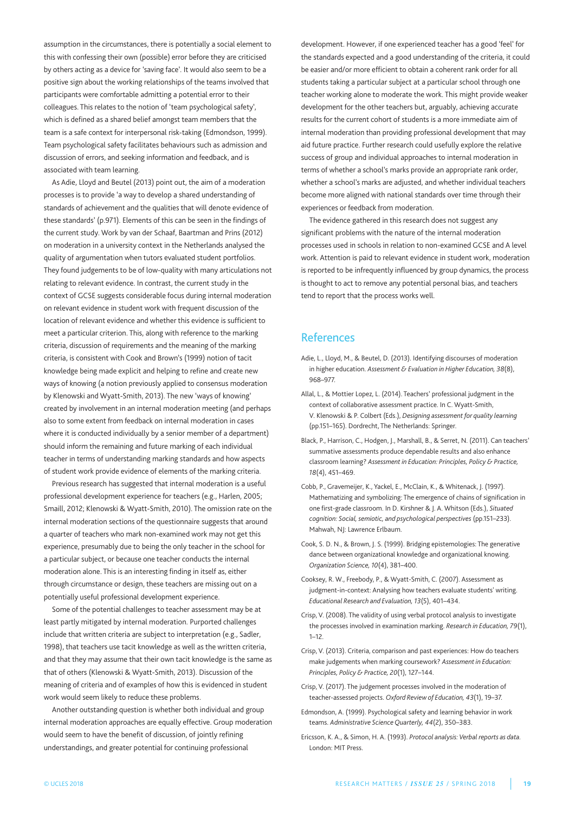assumption in the circumstances, there is potentially a social element to this with confessing their own (possible) error before they are criticised by others acting as a device for 'saving face'. It would also seem to be a positive sign about the working relationships of the teams involved that participants were comfortable admitting a potential error to their colleagues. This relates to the notion of 'team psychological safety', which is defined as a shared belief amongst team members that the team is a safe context for interpersonal risk-taking (Edmondson, 1999). Team psychological safety facilitates behaviours such as admission and discussion of errors, and seeking information and feedback, and is associated with team learning.

as adie, lloyd and Beutel (2013) point out, the aim of a moderation processes is to provide 'a way to develop a shared understanding of standards of achievement and the qualities that will denote evidence of these standards' (p.971). Elements of this can be seen in the findings of the current study. Work by van der Schaaf, Baartman and prins (2012) on moderation in a university context in the Netherlands analysed the quality of argumentation when tutors evaluated student portfolios. They found judgements to be of low-quality with many articulations not relating to relevant evidence. In contrast, the current study in the context of gCSE suggests considerable focus during internal moderation on relevant evidence in student work with frequent discussion of the location of relevant evidence and whether this evidence is sufficient to meet a particular criterion. This, along with reference to the marking criteria, discussion of requirements and the meaning of the marking criteria, is consistent with Cook and Brown's (1999) notion of tacit knowledge being made explicit and helping to refine and create new ways of knowing (a notion previously applied to consensus moderation by Klenowski and Wyatt-Smith, 2013). The new 'ways of knowing' created by involvement in an internal moderation meeting (and perhaps also to some extent from feedback on internal moderation in cases where it is conducted individually by a senior member of a department) should inform the remaining and future marking of each individual teacher in terms of understanding marking standards and how aspects of student work provide evidence of elements of the marking criteria.

previous research has suggested that internal moderation is a useful professional development experience for teachers (e.g., Harlen, 2005; Smaill, 2012; Klenowski & Wyatt-Smith, 2010). The omission rate on the internal moderation sections of the questionnaire suggests that around a quarter of teachers who mark non-examined work may not get this experience, presumably due to being the only teacher in the school for a particular subject, or because one teacher conducts the internal moderation alone. This is an interesting finding in itself as, either through circumstance or design, these teachers are missing out on a potentially useful professional development experience.

Some of the potential challenges to teacher assessment may be at least partly mitigated by internal moderation. purported challenges include that written criteria are subject to interpretation (e.g., Sadler, 1998), that teachers use tacit knowledge as well as the written criteria, and that they may assume that their own tacit knowledge is the same as that of others (Klenowski & Wyatt-Smith, 2013). Discussion of the meaning of criteria and of examples of how this is evidenced in student work would seem likely to reduce these problems.

another outstanding question is whether both individual and group internal moderation approaches are equally effective. Group moderation would seem to have the benefit of discussion, of jointly refining understandings, and greater potential for continuing professional

development. However, if one experienced teacher has a good 'feel' for the standards expected and a good understanding of the criteria, it could be easier and/or more efficient to obtain a coherent rank order for all students taking a particular subject at a particular school through one teacher working alone to moderate the work. This might provide weaker development for the other teachers but, arguably, achieving accurate results for the current cohort of students is a more immediate aim of internal moderation than providing professional development that may aid future practice. Further research could usefully explore the relative success of group and individual approaches to internal moderation in terms of whether a school's marks provide an appropriate rank order, whether a school's marks are adjusted, and whether individual teachers become more aligned with national standards over time through their experiences or feedback from moderation.

The evidence gathered in this research does not suggest any significant problems with the nature of the internal moderation processes used in schools in relation to non-examined GCSE and A level work. attention is paid to relevant evidence in student work, moderation is reported to be infrequently influenced by group dynamics, the process is thought to act to remove any potential personal bias, and teachers tend to report that the process works well.

# **References**

- Adie, L., Lloyd, M., & Beutel, D. (2013). Identifying discourses of moderation in higher education. *Assessment & Evaluation in Higher Education, 38*(8), 968–977.
- allal, l., & Mottier lopez, l. (2014). Teachers' professional judgment in the context of collaborative assessment practice. In C. Wyatt-Smith, V. Klenowski & p. Colbert (Eds.), *Designing assessment for quality learning* (pp.151-165). Dordrecht, The Netherlands: Springer.
- Black, P., Harrison, C., Hodgen, J., Marshall, B., & Serret, N. (2011). Can teachers' summative assessments produce dependable results and also enhance classroom learning? *Assessment in Education: Principles, Policy & Practice, 18*(4), 451–469.
- Cobb, P., Gravemeijer, K., Yackel, E., McClain, K., & Whitenack, J. (1997). Mathematizing and symbolizing: The emergence of chains of signification in one first-grade classroom. In D. Kirshner & J. a. Whitson (Eds.), *Situated cognition: Social, semiotic, and psychological perspectives* (pp.151–233). Mahwah, NJ: Lawrence Erlbaum.
- Cook, S. D. n., & Brown, J. S. (1999). Bridging epistemologies: The generative dance between organizational knowledge and organizational knowing. *Organization Science, 10*(4), 381–400.
- Cooksey, R. W., Freebody, p., & Wyatt-Smith, C. (2007). assessment as judgment-in-context: Analysing how teachers evaluate students' writing. *Educational Research and Evaluation, 13*(5), 401–434.
- Crisp, V. (2008). The validity of using verbal protocol analysis to investigate the processes involved in examination marking. *Research in Education, 79*(1), 1–12.
- Crisp, V. (2013). Criteria, comparison and past experiences: How do teachers make judgements when marking coursework? *Assessment in Education: Principles, Policy & Practice, 20*(1), 127–144.
- Crisp, V. (2017). The judgement processes involved in the moderation of teacher-assessed projects. *Oxford Reviewof Education, 43*(1), 19–37.
- Edmondson, A. (1999). Psychological safety and learning behavior in work teams. *Administrative Science Quarterly, 44*(2), 350–383.
- Ericsson, K. a., & Simon, H. a. (1993). *Protocol analysis: Verbal reports as data.* london: MIT press.